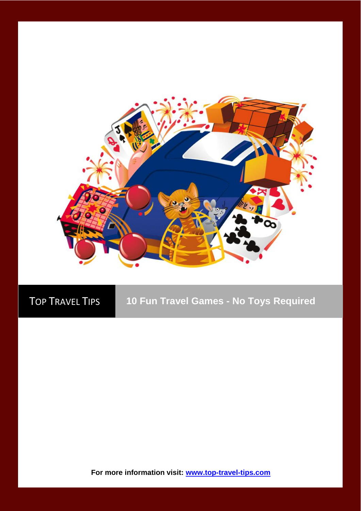

TOP TRAVEL TIPS **10 Fun Travel Games - No Toys Required**

**For more information visit: [www.top-travel-tips.com](http://www.top-travel-tips.com/index.html)**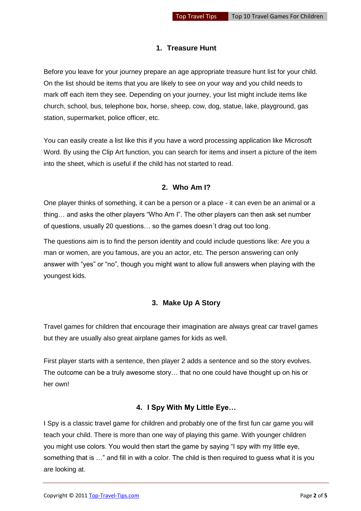# **1. Treasure Hunt**

Before you leave for your journey prepare an age appropriate treasure hunt list for your child. On the list should be items that you are likely to see on your way and you child needs to mark off each item they see. Depending on your journey, your list might include items like church, school, bus, telephone box, horse, sheep, cow, dog, statue, lake, playground, gas station, supermarket, police officer, etc.

You can easily create a list like this if you have a word processing application like Microsoft Word. By using the Clip Art function, you can search for items and insert a picture of the item into the sheet, which is useful if the child has not started to read.

## **2. Who Am I?**

One player thinks of something, it can be a person or a place - it can even be an animal or a thing… and asks the other players "Who Am I". The other players can then ask set number of questions, usually 20 questions… so the games doesn´t drag out too long.

The questions aim is to find the person identity and could include questions like: Are you a man or women, are you famous, are you an actor, etc. The person answering can only answer with "yes" or "no", though you might want to allow full answers when playing with the youngest kids.

## **3. Make Up A Story**

Travel games for children that encourage their imagination are always great car travel games but they are usually also great airplane games for kids as well.

First player starts with a sentence, then player 2 adds a sentence and so the story evolves. The outcome can be a truly awesome story… that no one could have thought up on his or her own!

#### **4. I Spy With My Little Eye…**

I Spy is a classic travel game for children and probably one of the first fun car game you will teach your child. There is more than one way of playing this game. With younger children you might use colors. You would then start the game by saying "I spy with my little eye, something that is …" and fill in with a color. The child is then required to guess what it is you are looking at.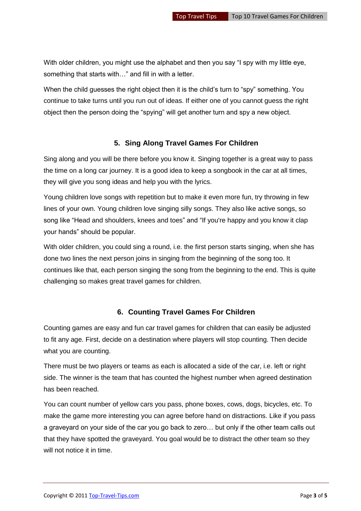With older children, you might use the alphabet and then you say "I spy with my little eye, something that starts with…" and fill in with a letter.

When the child guesses the right object then it is the child's turn to "spy" something. You continue to take turns until you run out of ideas. If either one of you cannot guess the right object then the person doing the "spying" will get another turn and spy a new object.

## **5. Sing Along Travel Games For Children**

Sing along and you will be there before you know it. Singing together is a great way to pass the time on a long car journey. It is a good idea to keep a songbook in the car at all times, they will give you song ideas and help you with the lyrics.

Young children love songs with repetition but to make it even more fun, try throwing in few lines of your own. Young children love singing silly songs. They also like active songs, so song like "H[ead and shoulders, knees and toes"](http://www.momsminivan.com/lyrics.html#headshoulders) and "[If you're happy and you know it](http://www.momsminivan.com/lyrics.html#happyandyouknowit) clap your hands" should be popular.

With older children, you could sing a round, i.e. the first person starts singing, when she has done two lines the next person joins in singing from the beginning of the song too. It continues like that, each person singing the song from the beginning to the end. This is quite challenging so makes great travel games for children.

#### **6. Counting Travel Games For Children**

Counting games are easy and fun car travel games for children that can easily be adjusted to fit any age. First, decide on a destination where players will stop counting. Then decide what you are counting.

There must be two players or teams as each is allocated a side of the car, i.e. left or right side. The winner is the team that has counted the highest number when agreed destination has been reached.

You can count number of yellow cars you pass, phone boxes, cows, dogs, bicycles, etc. To make the game more interesting you can agree before hand on distractions. Like if you pass a graveyard on your side of the car you go back to zero… but only if the other team calls out that they have spotted the graveyard. You goal would be to distract the other team so they will not notice it in time.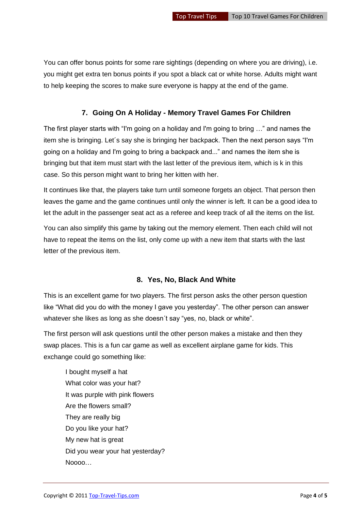You can offer bonus points for some rare sightings (depending on where you are driving), i.e. you might get extra ten bonus points if you spot a black cat or white horse. Adults might want to help keeping the scores to make sure everyone is happy at the end of the game.

### **7. Going On A Holiday - Memory Travel Games For Children**

The first player starts with "I'm going on a holiday and I'm going to bring …" and names the item she is bringing. Let´s say she is bringing her backpack. Then the next person says "I'm going on a holiday and I'm going to bring a backpack and..." and names the item she is bringing but that item must start with the last letter of the previous item, which is k in this case. So this person might want to bring her kitten with her.

It continues like that, the players take turn until someone forgets an object. That person then leaves the game and the game continues until only the winner is left. It can be a good idea to let the adult in the passenger seat act as a referee and keep track of all the items on the list.

You can also simplify this game by taking out the memory element. Then each child will not have to repeat the items on the list, only come up with a new item that starts with the last letter of the previous item.

#### **8. Yes, No, Black And White**

This is an excellent game for two players. The first person asks the other person question like "What did you do with the money I gave you yesterday". The other person can answer whatever she likes as long as she doesn't say "yes, no, black or white".

The first person will ask questions until the other person makes a mistake and then they swap places. This is a fun car game as well as excellent airplane game for kids. This exchange could go something like:

I bought myself a hat What color was your hat? It was purple with pink flowers Are the flowers small? They are really big Do you like your hat? My new hat is great Did you wear your hat yesterday? Noooo…